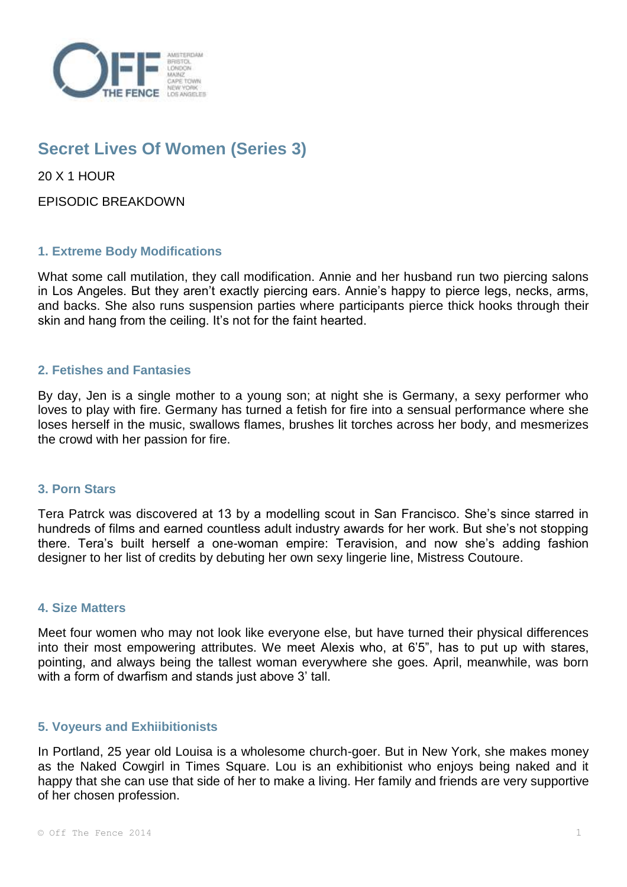

# **Secret Lives Of Women (Series 3)**

20 X 1 HOUR

EPISODIC BREAKDOWN

# **1. Extreme Body Modifications**

What some call mutilation, they call modification. Annie and her husband run two piercing salons in Los Angeles. But they aren't exactly piercing ears. Annie's happy to pierce legs, necks, arms, and backs. She also runs suspension parties where participants pierce thick hooks through their skin and hang from the ceiling. It's not for the faint hearted.

# **2. Fetishes and Fantasies**

By day, Jen is a single mother to a young son; at night she is Germany, a sexy performer who loves to play with fire. Germany has turned a fetish for fire into a sensual performance where she loses herself in the music, swallows flames, brushes lit torches across her body, and mesmerizes the crowd with her passion for fire.

## **3. Porn Stars**

Tera Patrck was discovered at 13 by a modelling scout in San Francisco. She's since starred in hundreds of films and earned countless adult industry awards for her work. But she's not stopping there. Tera's built herself a one-woman empire: Teravision, and now she's adding fashion designer to her list of credits by debuting her own sexy lingerie line, Mistress Coutoure.

## **4. Size Matters**

Meet four women who may not look like everyone else, but have turned their physical differences into their most empowering attributes. We meet Alexis who, at 6'5", has to put up with stares, pointing, and always being the tallest woman everywhere she goes. April, meanwhile, was born with a form of dwarfism and stands just above 3' tall.

## **5. Voyeurs and Exhiibitionists**

In Portland, 25 year old Louisa is a wholesome church-goer. But in New York, she makes money as the Naked Cowgirl in Times Square. Lou is an exhibitionist who enjoys being naked and it happy that she can use that side of her to make a living. Her family and friends are very supportive of her chosen profession.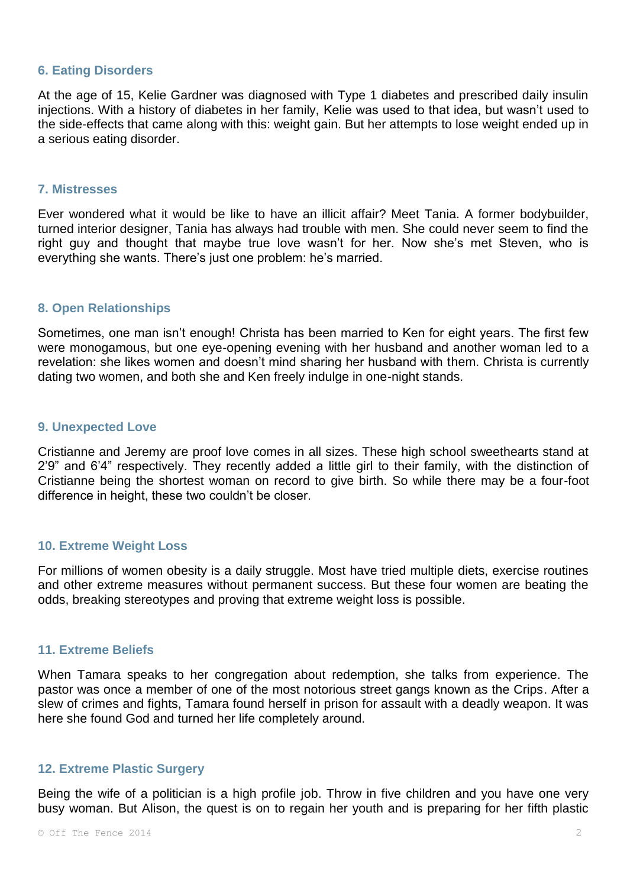## **6. Eating Disorders**

At the age of 15, Kelie Gardner was diagnosed with Type 1 diabetes and prescribed daily insulin injections. With a history of diabetes in her family, Kelie was used to that idea, but wasn't used to the side-effects that came along with this: weight gain. But her attempts to lose weight ended up in a serious eating disorder.

## **7. Mistresses**

Ever wondered what it would be like to have an illicit affair? Meet Tania. A former bodybuilder, turned interior designer, Tania has always had trouble with men. She could never seem to find the right guy and thought that maybe true love wasn't for her. Now she's met Steven, who is everything she wants. There's just one problem: he's married.

## **8. Open Relationships**

Sometimes, one man isn't enough! Christa has been married to Ken for eight years. The first few were monogamous, but one eye-opening evening with her husband and another woman led to a revelation: she likes women and doesn't mind sharing her husband with them. Christa is currently dating two women, and both she and Ken freely indulge in one-night stands.

#### **9. Unexpected Love**

Cristianne and Jeremy are proof love comes in all sizes. These high school sweethearts stand at 2'9" and 6'4" respectively. They recently added a little girl to their family, with the distinction of Cristianne being the shortest woman on record to give birth. So while there may be a four-foot difference in height, these two couldn't be closer.

## **10. Extreme Weight Loss**

For millions of women obesity is a daily struggle. Most have tried multiple diets, exercise routines and other extreme measures without permanent success. But these four women are beating the odds, breaking stereotypes and proving that extreme weight loss is possible.

#### **11. Extreme Beliefs**

When Tamara speaks to her congregation about redemption, she talks from experience. The pastor was once a member of one of the most notorious street gangs known as the Crips. After a slew of crimes and fights, Tamara found herself in prison for assault with a deadly weapon. It was here she found God and turned her life completely around.

#### **12. Extreme Plastic Surgery**

Being the wife of a politician is a high profile job. Throw in five children and you have one very busy woman. But Alison, the quest is on to regain her youth and is preparing for her fifth plastic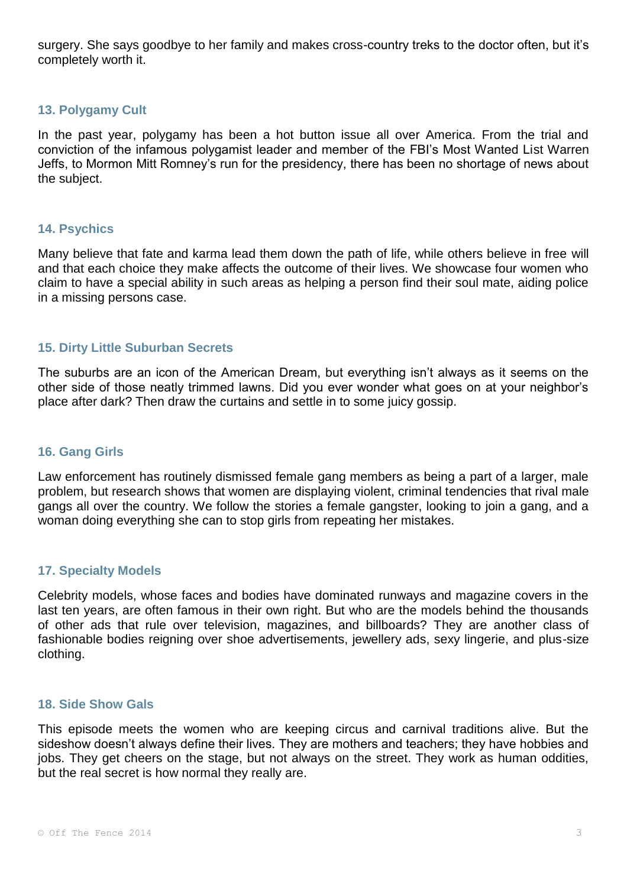surgery. She says goodbye to her family and makes cross-country treks to the doctor often, but it's completely worth it.

## **13. Polygamy Cult**

In the past year, polygamy has been a hot button issue all over America. From the trial and conviction of the infamous polygamist leader and member of the FBI's Most Wanted List Warren Jeffs, to Mormon Mitt Romney's run for the presidency, there has been no shortage of news about the subject.

## **14. Psychics**

Many believe that fate and karma lead them down the path of life, while others believe in free will and that each choice they make affects the outcome of their lives. We showcase four women who claim to have a special ability in such areas as helping a person find their soul mate, aiding police in a missing persons case.

## **15. Dirty Little Suburban Secrets**

The suburbs are an icon of the American Dream, but everything isn't always as it seems on the other side of those neatly trimmed lawns. Did you ever wonder what goes on at your neighbor's place after dark? Then draw the curtains and settle in to some juicy gossip.

#### **16. Gang Girls**

Law enforcement has routinely dismissed female gang members as being a part of a larger, male problem, but research shows that women are displaying violent, criminal tendencies that rival male gangs all over the country. We follow the stories a female gangster, looking to join a gang, and a woman doing everything she can to stop girls from repeating her mistakes.

#### **17. Specialty Models**

Celebrity models, whose faces and bodies have dominated runways and magazine covers in the last ten years, are often famous in their own right. But who are the models behind the thousands of other ads that rule over television, magazines, and billboards? They are another class of fashionable bodies reigning over shoe advertisements, jewellery ads, sexy lingerie, and plus-size clothing.

## **18. Side Show Gals**

This episode meets the women who are keeping circus and carnival traditions alive. But the sideshow doesn't always define their lives. They are mothers and teachers; they have hobbies and jobs. They get cheers on the stage, but not always on the street. They work as human oddities, but the real secret is how normal they really are.